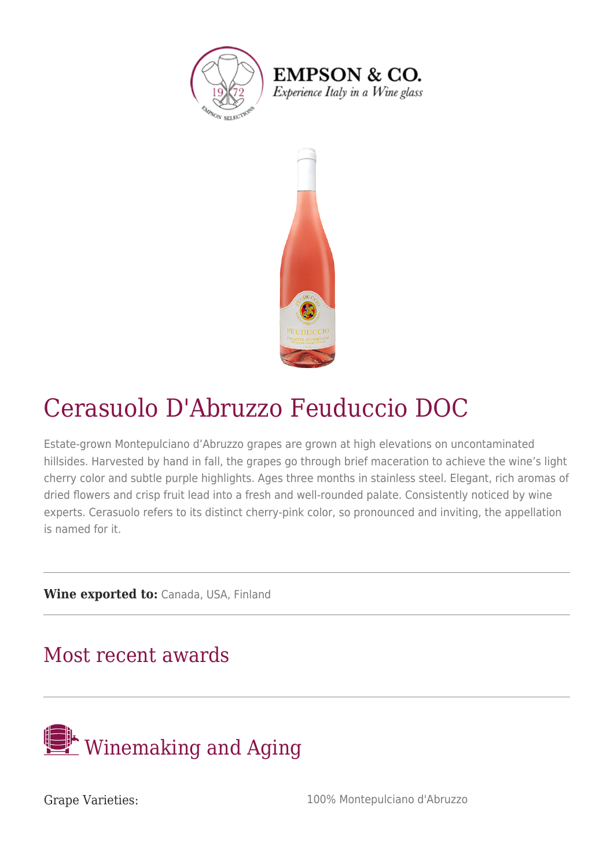

**EMPSON & CO.** Experience Italy in a Wine glass



## Cerasuolo D'Abruzzo Feuduccio DOC

Estate-grown Montepulciano d'Abruzzo grapes are grown at high elevations on uncontaminated hillsides. Harvested by hand in fall, the grapes go through brief maceration to achieve the wine's light cherry color and subtle purple highlights. Ages three months in stainless steel. Elegant, rich aromas of dried flowers and crisp fruit lead into a fresh and well-rounded palate. Consistently noticed by wine experts. Cerasuolo refers to its distinct cherry-pink color, so pronounced and inviting, the appellation is named for it.

**Wine exported to:** Canada, USA, Finland

## Most recent awards



Grape Varieties:  $100\%$  Montepulciano d'Abruzzo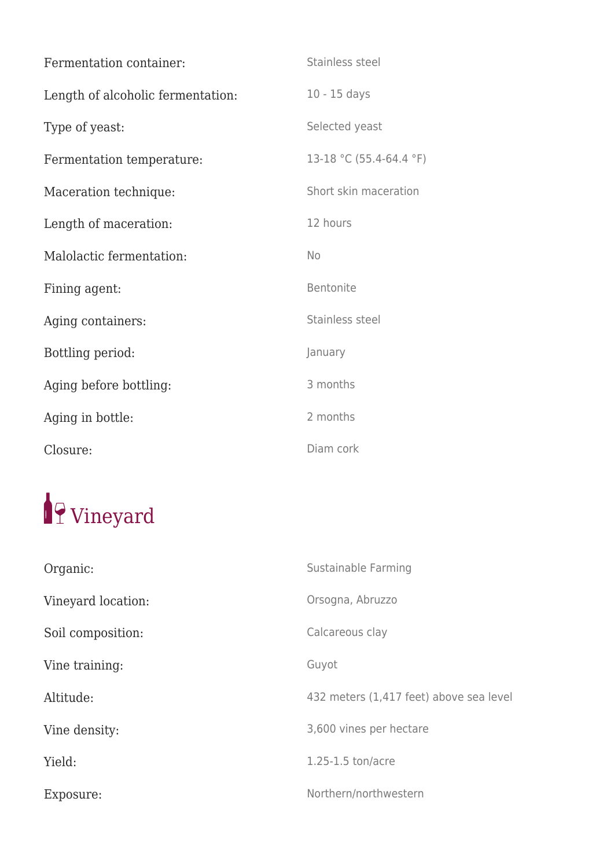| Fermentation container:           | Stainless steel         |
|-----------------------------------|-------------------------|
| Length of alcoholic fermentation: | $10 - 15$ days          |
| Type of yeast:                    | Selected yeast          |
| Fermentation temperature:         | 13-18 °C (55.4-64.4 °F) |
| Maceration technique:             | Short skin maceration   |
| Length of maceration:             | 12 hours                |
| Malolactic fermentation:          | <b>No</b>               |
| Fining agent:                     | Bentonite               |
| Aging containers:                 | Stainless steel         |
| Bottling period:                  | January                 |
| Aging before bottling:            | 3 months                |
| Aging in bottle:                  | 2 months                |
| Closure:                          | Diam cork               |

## 19 Vineyard

| Organic:           | Sustainable Farming                     |
|--------------------|-----------------------------------------|
| Vineyard location: | Orsogna, Abruzzo                        |
| Soil composition:  | Calcareous clay                         |
| Vine training:     | Guyot                                   |
| Altitude:          | 432 meters (1,417 feet) above sea level |
| Vine density:      | 3,600 vines per hectare                 |
| Yield:             | 1.25-1.5 ton/acre                       |
| Exposure:          | Northern/northwestern                   |